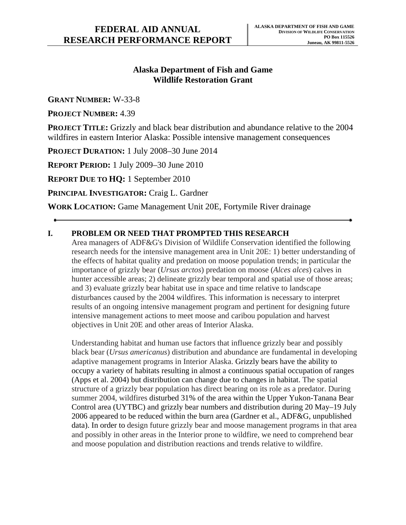# **Alaska Department of Fish and Game Wildlife Restoration Grant**

**GRANT NUMBER:** W-33-8

**PROJECT NUMBER:** 4.39

**PROJECT TITLE:** Grizzly and black bear distribution and abundance relative to the 2004 wildfires in eastern Interior Alaska: Possible intensive management consequences

**PROJECT DURATION:** 1 July 2008–30 June 2014

**REPORT PERIOD:** 1 July 2009–30 June 2010

**REPORT DUE TO HQ:** 1 September 2010

**PRINCIPAL INVESTIGATOR:** Craig L. Gardner

**WORK LOCATION:** Game Management Unit 20E, Fortymile River drainage

# **I. PROBLEM OR NEED THAT PROMPTED THIS RESEARCH**

Area managers of ADF&G's Division of Wildlife Conservation identified the following research needs for the intensive management area in Unit 20E: 1) better understanding of the effects of habitat quality and predation on moose population trends; in particular the importance of grizzly bear (*Ursus arctos*) predation on moose (*Alces alces*) calves in hunter accessible areas; 2) delineate grizzly bear temporal and spatial use of those areas; and 3) evaluate grizzly bear habitat use in space and time relative to landscape disturbances caused by the 2004 wildfires. This information is necessary to interpret results of an ongoing intensive management program and pertinent for designing future intensive management actions to meet moose and caribou population and harvest objectives in Unit 20E and other areas of Interior Alaska.

Understanding habitat and human use factors that influence grizzly bear and possibly black bear (*Ursus americanus*) distribution and abundance are fundamental in developing adaptive management programs in Interior Alaska. Grizzly bears have the ability to occupy a variety of habitats resulting in almost a continuous spatial occupation of ranges (Apps et al. 2004) but distribution can change due to changes in habitat. The spatial structure of a grizzly bear population has direct bearing on its role as a predator. During summer 2004, wildfires disturbed 31% of the area within the Upper Yukon-Tanana Bear Control area (UYTBC) and grizzly bear numbers and distribution during 20 May–19 July 2006 appeared to be reduced within the burn area (Gardner et al., ADF&G, unpublished data). In order to design future grizzly bear and moose management programs in that area and possibly in other areas in the Interior prone to wildfire, we need to comprehend bear and moose population and distribution reactions and trends relative to wildfire.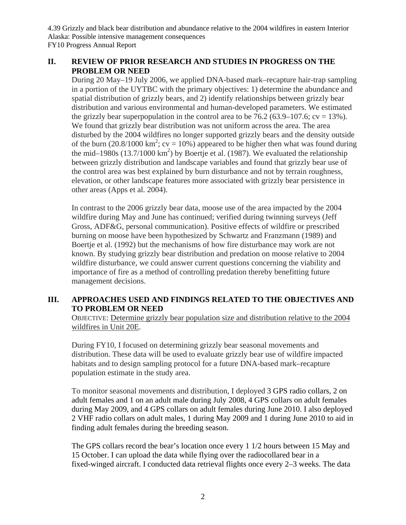4.39 Grizzly and black bear distribution and abundance relative to the 2004 wildfires in eastern Interior Alaska: Possible intensive management consequences FY10 Progress Annual Report

# **II. REVIEW OF PRIOR RESEARCH AND STUDIES IN PROGRESS ON THE PROBLEM OR NEED**

During 20 May–19 July 2006, we applied DNA-based mark–recapture hair-trap sampling in a portion of the UYTBC with the primary objectives: 1) determine the abundance and spatial distribution of grizzly bears, and 2) identify relationships between grizzly bear distribution and various environmental and human-developed parameters. We estimated the grizzly bear superpopulation in the control area to be  $76.2$  (63.9–107.6; cv = 13%). We found that grizzly bear distribution was not uniform across the area. The area disturbed by the 2004 wildfires no longer supported grizzly bears and the density outside of the burn (20.8/1000 km<sup>2</sup>; cv = 10%) appeared to be higher then what was found during the mid–1980s  $(13.7/1000 \text{ km}^2)$  by Boertje et al. (1987). We evaluated the relationship between grizzly distribution and landscape variables and found that grizzly bear use of the control area was best explained by burn disturbance and not by terrain roughness, elevation, or other landscape features more associated with grizzly bear persistence in other areas (Apps et al. 2004).

In contrast to the 2006 grizzly bear data, moose use of the area impacted by the 2004 wildfire during May and June has continued; verified during twinning surveys (Jeff Gross, ADF&G, personal communication). Positive effects of wildfire or prescribed burning on moose have been hypothesized by Schwartz and Franzmann (1989) and Boertje et al. (1992) but the mechanisms of how fire disturbance may work are not known. By studying grizzly bear distribution and predation on moose relative to 2004 wildfire disturbance, we could answer current questions concerning the viability and importance of fire as a method of controlling predation thereby benefitting future management decisions.

# **III. APPROACHES USED AND FINDINGS RELATED TO THE OBJECTIVES AND TO PROBLEM OR NEED**

OBJECTIVE: Determine grizzly bear population size and distribution relative to the 2004 wildfires in Unit 20E.

During FY10, I focused on determining grizzly bear seasonal movements and distribution. These data will be used to evaluate grizzly bear use of wildfire impacted habitats and to design sampling protocol for a future DNA-based mark–recapture population estimate in the study area.

To monitor seasonal movements and distribution, I deployed 3 GPS radio collars, 2 on adult females and 1 on an adult male during July 2008, 4 GPS collars on adult females during May 2009, and 4 GPS collars on adult females during June 2010. I also deployed 2 VHF radio collars on adult males, 1 during May 2009 and 1 during June 2010 to aid in finding adult females during the breeding season.

The GPS collars record the bear's location once every 1 1/2 hours between 15 May and 15 October. I can upload the data while flying over the radiocollared bear in a fixed-winged aircraft. I conducted data retrieval flights once every 2–3 weeks. The data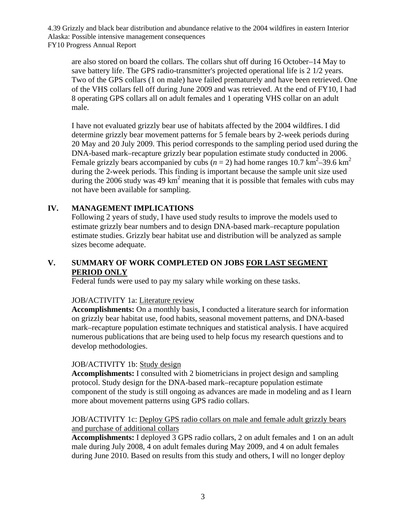Alaska: Possible intensive management consequences FY10 Progress Annual Report 4.39 Grizzly and black bear distribution and abundance relative to the 2004 wildfires in eastern Interior

are also stored on board the collars. The collars shut off during 16 October–14 May to save battery life. The GPS radio-transmitter's projected operational life is 2 1/2 years. Two of the GPS collars (1 on male) have failed prematurely and have been retrieved. One of the VHS collars fell off during June 2009 and was retrieved. At the end of FY10, I had 8 operating GPS collars all on adult females and 1 operating VHS collar on an adult male.

I have not evaluated grizzly bear use of habitats affected by the 2004 wildfires. I did determine grizzly bear movement patterns for 5 female bears by 2-week periods during 20 May and 20 July 2009. This period corresponds to the sampling period used during the DNA-based mark–recapture grizzly bear population estimate study conducted in 2006. Female grizzly bears accompanied by cubs  $(n = 2)$  had home ranges 10.7 km<sup>2</sup>-39.6 km<sup>2</sup> during the 2-week periods. This finding is important because the sample unit size used during the 2006 study was 49  $km^2$  meaning that it is possible that females with cubs may not have been available for sampling.

## **IV. MANAGEMENT IMPLICATIONS**

Following 2 years of study, I have used study results to improve the models used to estimate grizzly bear numbers and to design DNA-based mark–recapture population estimate studies. Grizzly bear habitat use and distribution will be analyzed as sample sizes become adequate.

# **V. SUMMARY OF WORK COMPLETED ON JOBS FOR LAST SEGMENT PERIOD ONLY**

Federal funds were used to pay my salary while working on these tasks.

#### JOB/ACTIVITY 1a: Literature review

**Accomplishments:** On a monthly basis, I conducted a literature search for information on grizzly bear habitat use, food habits, seasonal movement patterns, and DNA-based mark–recapture population estimate techniques and statistical analysis. I have acquired numerous publications that are being used to help focus my research questions and to develop methodologies.

#### JOB/ACTIVITY 1b: Study design

**Accomplishments:** I consulted with 2 biometricians in project design and sampling protocol. Study design for the DNA-based mark–recapture population estimate component of the study is still ongoing as advances are made in modeling and as I learn more about movement patterns using GPS radio collars.

#### JOB/ACTIVITY 1c: Deploy GPS radio collars on male and female adult grizzly bears and purchase of additional collars

**Accomplishments:** I deployed 3 GPS radio collars, 2 on adult females and 1 on an adult male during July 2008, 4 on adult females during May 2009, and 4 on adult females during June 2010. Based on results from this study and others, I will no longer deploy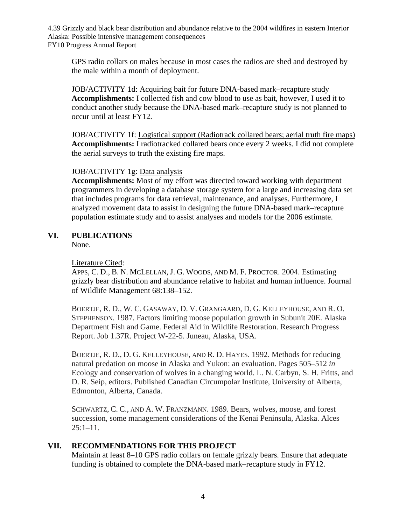Alaska: Possible intensive management consequences FY10 Progress Annual Report 4.39 Grizzly and black bear distribution and abundance relative to the 2004 wildfires in eastern Interior

GPS radio collars on males because in most cases the radios are shed and destroyed by the male within a month of deployment.

JOB/ACTIVITY 1d: Acquiring bait for future DNA-based mark–recapture study **Accomplishments:** I collected fish and cow blood to use as bait, however, I used it to conduct another study because the DNA-based mark–recapture study is not planned to occur until at least FY12.

JOB/ACTIVITY 1f: Logistical support (Radiotrack collared bears; aerial truth fire maps) **Accomplishments:** I radiotracked collared bears once every 2 weeks. I did not complete the aerial surveys to truth the existing fire maps.

### JOB/ACTIVITY 1g: Data analysis

**Accomplishments:** Most of my effort was directed toward working with department programmers in developing a database storage system for a large and increasing data set that includes programs for data retrieval, maintenance, and analyses. Furthermore, I analyzed movement data to assist in designing the future DNA-based mark–recapture population estimate study and to assist analyses and models for the 2006 estimate.

### **VI. PUBLICATIONS**

None.

#### Literature Cited:

 APPS, C. D., B. N. MCLELLAN, J. G. WOODS, AND M. F. PROCTOR. 2004. Estimating grizzly bear distribution and abundance relative to habitat and human influence. Journal of Wildlife Management 68:138–152.

 BOERTJE, R. D., W. C. GASAWAY, D. V. GRANGAARD, D. G. KELLEYHOUSE, AND R. O. STEPHENSON. 1987. Factors limiting moose population growth in Subunit 20E. Alaska Department Fish and Game. Federal Aid in Wildlife Restoration. Research Progress Report. Job 1.37R. Project W-22-5. Juneau, Alaska, USA.

 BOERTJE, R. D., D. G. KELLEYHOUSE, AND R. D. HAYES. 1992. Methods for reducing natural predation on moose in Alaska and Yukon: an evaluation. Pages 505–512 *in*  Ecology and conservation of wolves in a changing world. L. N. Carbyn, S. H. Fritts, and D. R. Seip, editors. Published Canadian Circumpolar Institute, University of Alberta, Edmonton, Alberta, Canada.

 SCHWARTZ, C. C., AND A. W. FRANZMANN. 1989. Bears, wolves, moose, and forest succession, some management considerations of the Kenai Peninsula, Alaska. Alces  $25:1-11.$ 

## **VII. RECOMMENDATIONS FOR THIS PROJECT**

Maintain at least 8–10 GPS radio collars on female grizzly bears. Ensure that adequate funding is obtained to complete the DNA-based mark–recapture study in FY12.